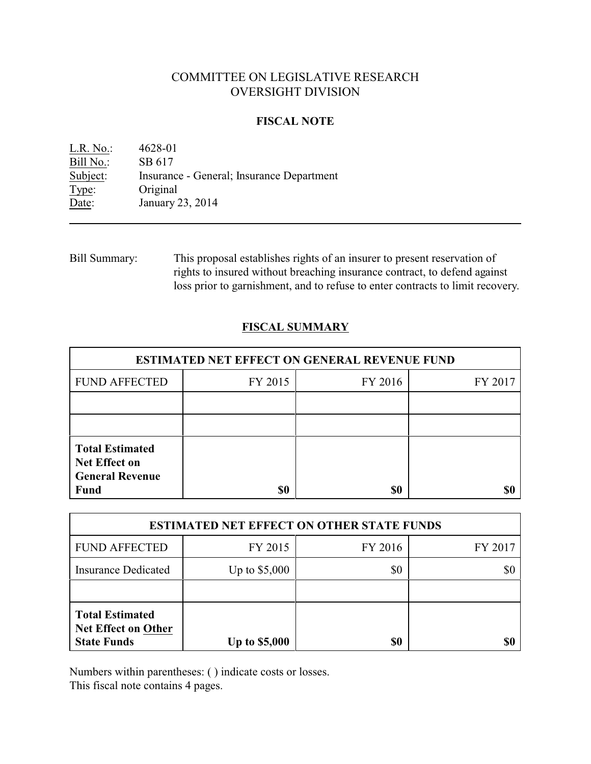# COMMITTEE ON LEGISLATIVE RESEARCH OVERSIGHT DIVISION

### **FISCAL NOTE**

L.R. No.: 4628-01 Bill No.: SB 617 Subject: Insurance - General; Insurance Department Type: Original Date: January 23, 2014

Bill Summary: This proposal establishes rights of an insurer to present reservation of rights to insured without breaching insurance contract, to defend against loss prior to garnishment, and to refuse to enter contracts to limit recovery.

## **FISCAL SUMMARY**

| <b>ESTIMATED NET EFFECT ON GENERAL REVENUE FUND</b>                                     |         |         |         |  |
|-----------------------------------------------------------------------------------------|---------|---------|---------|--|
| <b>FUND AFFECTED</b>                                                                    | FY 2015 | FY 2016 | FY 2017 |  |
|                                                                                         |         |         |         |  |
|                                                                                         |         |         |         |  |
| <b>Total Estimated</b><br><b>Net Effect on</b><br><b>General Revenue</b><br><b>Fund</b> | \$0     | \$0     |         |  |

| <b>ESTIMATED NET EFFECT ON OTHER STATE FUNDS</b>                           |                      |         |         |  |
|----------------------------------------------------------------------------|----------------------|---------|---------|--|
| <b>FUND AFFECTED</b>                                                       | FY 2015              | FY 2016 | FY 2017 |  |
| <b>Insurance Dedicated</b>                                                 | Up to $$5,000$       | \$0     | \$0     |  |
|                                                                            |                      |         |         |  |
| <b>Total Estimated</b><br><b>Net Effect on Other</b><br><b>State Funds</b> | <b>Up to \$5,000</b> | \$0     | \$6     |  |

Numbers within parentheses: ( ) indicate costs or losses.

This fiscal note contains 4 pages.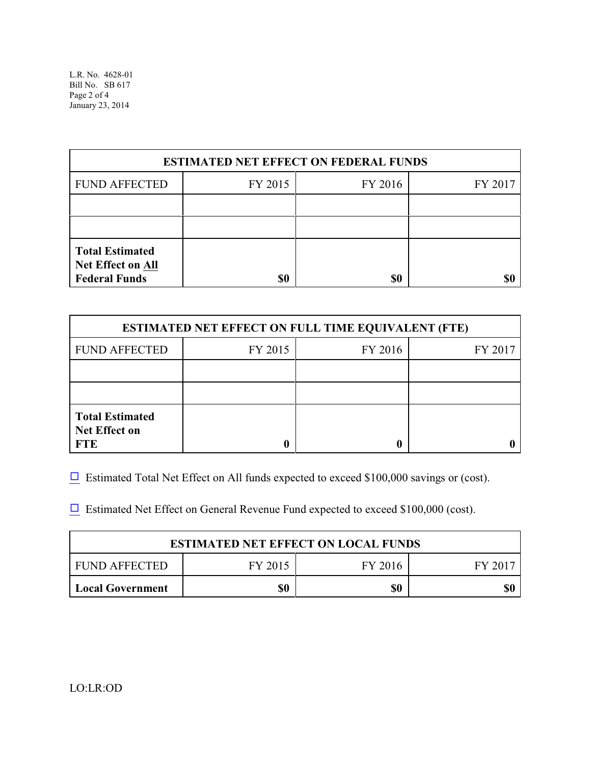| <b>ESTIMATED NET EFFECT ON FEDERAL FUNDS</b>                               |         |         |         |  |
|----------------------------------------------------------------------------|---------|---------|---------|--|
| <b>FUND AFFECTED</b>                                                       | FY 2015 | FY 2016 | FY 2017 |  |
|                                                                            |         |         |         |  |
|                                                                            |         |         |         |  |
| <b>Total Estimated</b><br><b>Net Effect on All</b><br><b>Federal Funds</b> | \$0     | \$0     |         |  |

| <b>ESTIMATED NET EFFECT ON FULL TIME EQUIVALENT (FTE)</b>    |         |         |         |  |
|--------------------------------------------------------------|---------|---------|---------|--|
| <b>FUND AFFECTED</b>                                         | FY 2015 | FY 2016 | FY 2017 |  |
|                                                              |         |         |         |  |
|                                                              |         |         |         |  |
| <b>Total Estimated</b><br><b>Net Effect on</b><br><b>FTE</b> |         |         |         |  |

 $\Box$  Estimated Total Net Effect on All funds expected to exceed \$100,000 savings or (cost).

 $\Box$  Estimated Net Effect on General Revenue Fund expected to exceed \$100,000 (cost).

| <b>ESTIMATED NET EFFECT ON LOCAL FUNDS</b> |         |         |       |  |
|--------------------------------------------|---------|---------|-------|--|
| FUND AFFECTED                              | FY 2015 | FY 2016 | FY 20 |  |
| <b>Local Government</b>                    | \$0     | \$0     | \$(   |  |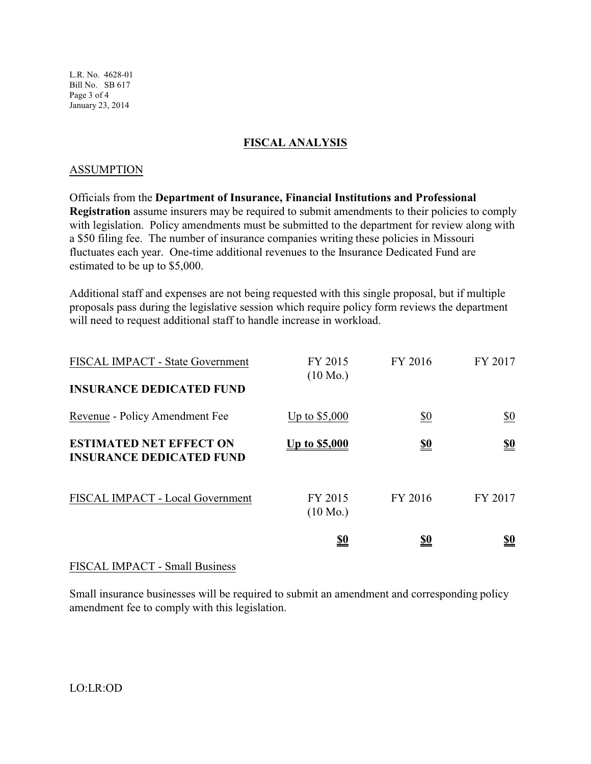L.R. No. 4628-01 Bill No. SB 617 Page 3 of 4 January 23, 2014

### **FISCAL ANALYSIS**

#### ASSUMPTION

Officials from the **Department of Insurance, Financial Institutions and Professional Registration** assume insurers may be required to submit amendments to their policies to comply with legislation. Policy amendments must be submitted to the department for review along with a \$50 filing fee. The number of insurance companies writing these policies in Missouri fluctuates each year. One-time additional revenues to the Insurance Dedicated Fund are estimated to be up to \$5,000.

Additional staff and expenses are not being requested with this single proposal, but if multiple proposals pass during the legislative session which require policy form reviews the department will need to request additional staff to handle increase in workload.

| FISCAL IMPACT - State Government<br><b>INSURANCE DEDICATED FUND</b> | FY 2015<br>$(10 \text{ Mo.})$ | FY 2016    | FY 2017                       |
|---------------------------------------------------------------------|-------------------------------|------------|-------------------------------|
| Revenue - Policy Amendment Fee                                      | Up to $$5,000$                | \$0        | $\underline{\$0}$             |
| <b>ESTIMATED NET EFFECT ON</b><br><b>INSURANCE DEDICATED FUND</b>   | <u>Up to \$5,000</u>          | <u>\$0</u> | $\underline{\underline{\$0}}$ |
| FISCAL IMPACT - Local Government                                    | FY 2015<br>$(10 \text{ Mo.})$ | FY 2016    | FY 2017                       |
|                                                                     | <u>\$0</u>                    | <u>\$0</u> | <u>\$0</u>                    |

### FISCAL IMPACT - Small Business

Small insurance businesses will be required to submit an amendment and corresponding policy amendment fee to comply with this legislation.